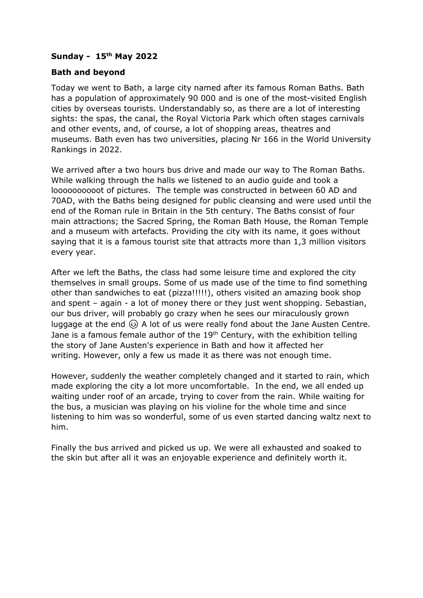## **Sunday - 15th May 2022**

## **Bath and beyond**

Today we went to Bath, a large city named after its famous Roman Baths. Bath has a population of approximately 90 000 and is one of the most-visited English cities by overseas tourists. Understandably so, as there are a lot of interesting sights: the spas, the canal, the Royal Victoria Park which often stages carnivals and other events, and, of course, a lot of shopping areas, theatres and museums. Bath even has two universities, placing Nr 166 in the World University Rankings in 2022.

We arrived after a two hours bus drive and made our way to The Roman Baths. While walking through the halls we listened to an audio guide and took a loooooooooot of pictures. The temple was constructed in between 60 AD and 70AD, with the Baths being designed for public cleansing and were used until the end of the Roman rule in Britain in the 5th century. The Baths consist of four main attractions; the Sacred Spring, the Roman Bath House, the Roman Temple and a museum with artefacts. Providing the city with its name, it goes without saying that it is a famous tourist site that attracts more than 1,3 million visitors every year.

After we left the Baths, the class had some leisure time and explored the city themselves in small groups. Some of us made use of the time to find something other than sandwiches to eat (pizza!!!!!), others visited an amazing book shop and spent – again - a lot of money there or they just went shopping. Sebastian, our bus driver, will probably go crazy when he sees our miraculously grown luggage at the end  $\circledcirc$  A lot of us were really fond about the Jane Austen Centre. Jane is a famous female author of the  $19<sup>th</sup>$  Century, with the exhibition telling the story of Jane Austen's experience in Bath and how it affected her writing. However, only a few us made it as there was not enough time.

However, suddenly the weather completely changed and it started to rain, which made exploring the city a lot more uncomfortable. In the end, we all ended up waiting under roof of an arcade, trying to cover from the rain. While waiting for the bus, a musician was playing on his violine for the whole time and since listening to him was so wonderful, some of us even started dancing waltz next to him.

Finally the bus arrived and picked us up. We were all exhausted and soaked to the skin but after all it was an enjoyable experience and definitely worth it.